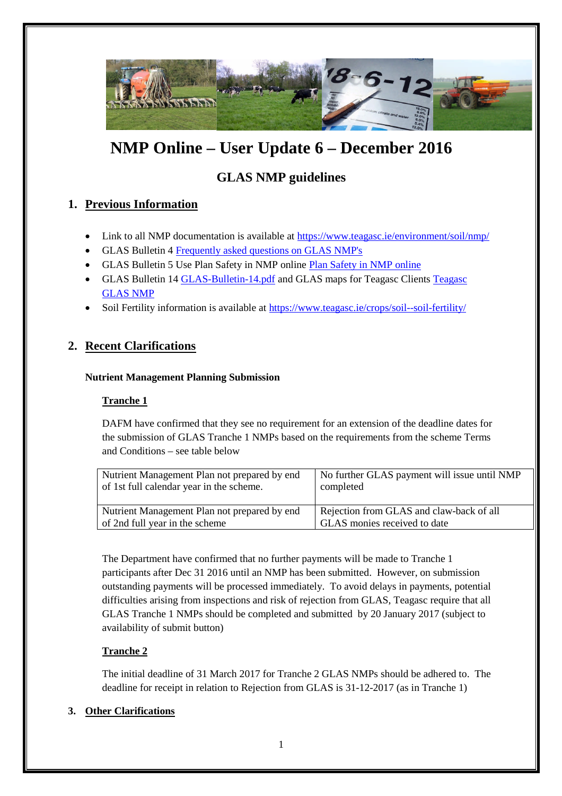

# **NMP Online – User Update 6 – December 2016**

## **GLAS NMP guidelines**

## **1. Previous Information**

- Link to all NMP documentation is available at https://www.teagasc.ie/environment/soil/nmp/
- GLAS Bulletin 4 Frequently asked questions on GLAS NMP's
- GLAS Bulletin 5 Use Plan Safety in NMP online Plan Safety in NMP online
- GLAS Bulletin 14 GLAS-Bulletin-14.pdf and GLAS maps for Teagasc Clients Teagasc GLAS NMP
- Soil Fertility information is available at https://www.teagasc.ie/crops/soil--soil-fertility/

## **2. Recent Clarifications**

#### **Nutrient Management Planning Submission**

#### **Tranche 1**

DAFM have confirmed that they see no requirement for an extension of the deadline dates for the submission of GLAS Tranche 1 NMPs based on the requirements from the scheme Terms and Conditions – see table below

| Nutrient Management Plan not prepared by end<br>of 1st full calendar year in the scheme. | No further GLAS payment will issue until NMP<br>completed |
|------------------------------------------------------------------------------------------|-----------------------------------------------------------|
| Nutrient Management Plan not prepared by end                                             | Rejection from GLAS and claw-back of all                  |
| of 2nd full year in the scheme                                                           | GLAS monies received to date                              |

The Department have confirmed that no further payments will be made to Tranche 1 participants after Dec 31 2016 until an NMP has been submitted. However, on submission outstanding payments will be processed immediately. To avoid delays in payments, potential difficulties arising from inspections and risk of rejection from GLAS, Teagasc require that all GLAS Tranche 1 NMPs should be completed and submitted by 20 January 2017 (subject to availability of submit button)

#### **Tranche 2**

The initial deadline of 31 March 2017 for Tranche 2 GLAS NMPs should be adhered to. The deadline for receipt in relation to Rejection from GLAS is 31-12-2017 (as in Tranche 1)

#### **3. Other Clarifications**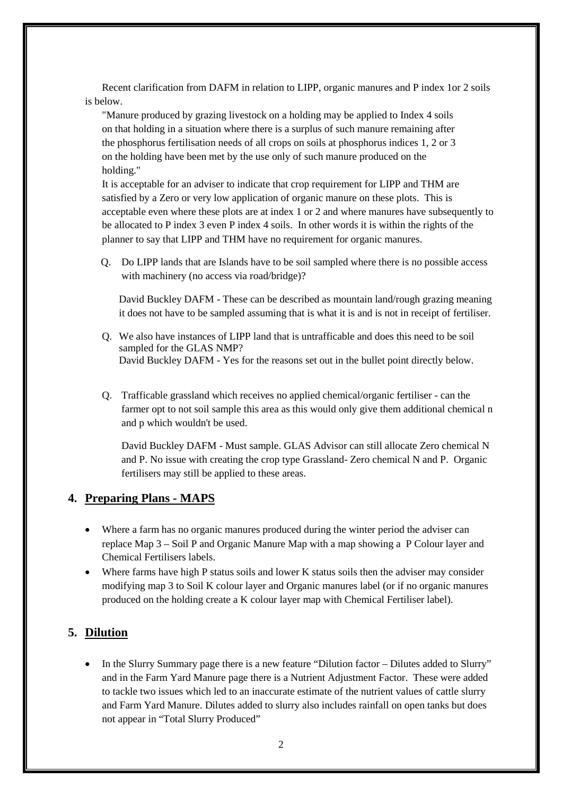Recent clarification from DAFM in relation to LIPP, organic manures and P index 1or 2 soils is below.

"Manure produced by grazing livestock on a holding may be applied to Index 4 soils on that holding in a situation where there is a surplus of such manure remaining after the phosphorus fertilisation needs of all crops on soils at phosphorus indices 1, 2 or 3 on the holding have been met by the use only of such manure produced on the holding."

It is acceptable for an adviser to indicate that crop requirement for LIPP and THM are satisfied by a Zero or very low application of organic manure on these plots. This is acceptable even where these plots are at index 1 or 2 and where manures have subsequently to be allocated to P index 3 even P index 4 soils. In other words it is within the rights of the planner to say that LIPP and THM have no requirement for organic manures.

Q. Do LIPP lands that are Islands have to be soil sampled where there is no possible access with machinery (no access via road/bridge)?

David Buckley DAFM - These can be described as mountain land/rough grazing meaning it does not have to be sampled assuming that is what it is and is not in receipt of fertiliser.

- Q. We also have instances of LIPP land that is untrafficable and does this need to be soil sampled for the GLAS NMP? David Buckley DAFM - Yes for the reasons set out in the bullet point directly below.
- Q. Trafficable grassland which receives no applied chemical/organic fertiliser can the farmer opt to not soil sample this area as this would only give them additional chemical n and p which wouldn't be used.

David Buckley DAFM - Must sample. GLAS Advisor can still allocate Zero chemical N and P. No issue with creating the crop type Grassland- Zero chemical N and P. Organic fertilisers may still be applied to these areas.

#### **4. Preparing Plans - MAPS**

- Where a farm has no organic manures produced during the winter period the adviser can replace Map 3 – Soil P and Organic Manure Map with a map showing a P Colour layer and Chemical Fertilisers labels.
- Where farms have high P status soils and lower K status soils then the adviser may consider modifying map 3 to Soil K colour layer and Organic manures label (or if no organic manures produced on the holding create a K colour layer map with Chemical Fertiliser label).

### **5. Dilution**

• In the Slurry Summary page there is a new feature "Dilution factor – Dilutes added to Slurry" and in the Farm Yard Manure page there is a Nutrient Adjustment Factor. These were added to tackle two issues which led to an inaccurate estimate of the nutrient values of cattle slurry and Farm Yard Manure. Dilutes added to slurry also includes rainfall on open tanks but does not appear in "Total Slurry Produced"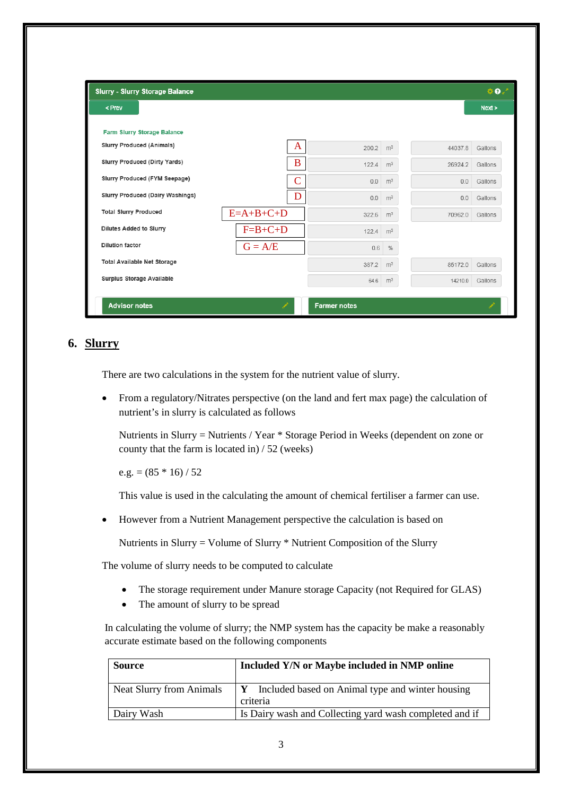| <b>Slurry - Slurry Storage Balance</b> |             |                |       |                |         | 40.7    |
|----------------------------------------|-------------|----------------|-------|----------------|---------|---------|
| < Prev                                 |             |                |       |                |         | Next >  |
| Farm Slurry Storage Balance            |             |                |       |                |         |         |
| <b>Slurry Produced (Animals)</b>       |             | A              | 200.2 | m <sup>3</sup> | 44037.8 | Gallons |
| Slurry Produced (Dirty Yards)          |             | B              | 122.4 | m <sup>3</sup> | 26924.2 | Gallons |
| Slurry Produced (FYM Seepage)          |             | $\overline{C}$ | 0.0   | m <sup>3</sup> | 0.0     | Gallons |
| Slurry Produced (Dairy Washings)       |             | D              | 0.0   | m <sup>3</sup> | 0.0     | Gallons |
| <b>Total Slurry Produced</b>           | $E=A+B+C+D$ |                | 322.6 | m <sup>3</sup> | 70962.0 | Gallons |
| Dilutes Added to Slurry                | $F=B+C+D$   |                | 122.4 | m <sup>3</sup> |         |         |
| <b>Dilution factor</b>                 | $G = A/E$   |                | 0.6   | $\%$           |         |         |
| <b>Total Available Net Storage</b>     |             |                | 387.2 | m <sup>3</sup> | 85172.0 | Gallons |
| Surplus Storage Available              |             |                | 64.6  | m <sup>3</sup> | 14210.0 | Gallons |

### **6. Slurry**

There are two calculations in the system for the nutrient value of slurry.

 From a regulatory/Nitrates perspective (on the land and fert max page) the calculation of nutrient's in slurry is calculated as follows

Nutrients in Slurry = Nutrients / Year \* Storage Period in Weeks (dependent on zone or county that the farm is located in) / 52 (weeks)

e.g. =  $(85 * 16) / 52$ 

This value is used in the calculating the amount of chemical fertiliser a farmer can use.

However from a Nutrient Management perspective the calculation is based on

Nutrients in Slurry = Volume of Slurry \* Nutrient Composition of the Slurry

The volume of slurry needs to be computed to calculate

- The storage requirement under Manure storage Capacity (not Required for GLAS)
- The amount of slurry to be spread

In calculating the volume of slurry; the NMP system has the capacity be make a reasonably accurate estimate based on the following components

| <b>Source</b>                   | Included Y/N or Maybe included in NMP online                   |
|---------------------------------|----------------------------------------------------------------|
| <b>Neat Slurry from Animals</b> | Y Included based on Animal type and winter housing<br>criteria |
| Dairy Wash                      | Is Dairy wash and Collecting yard wash completed and if        |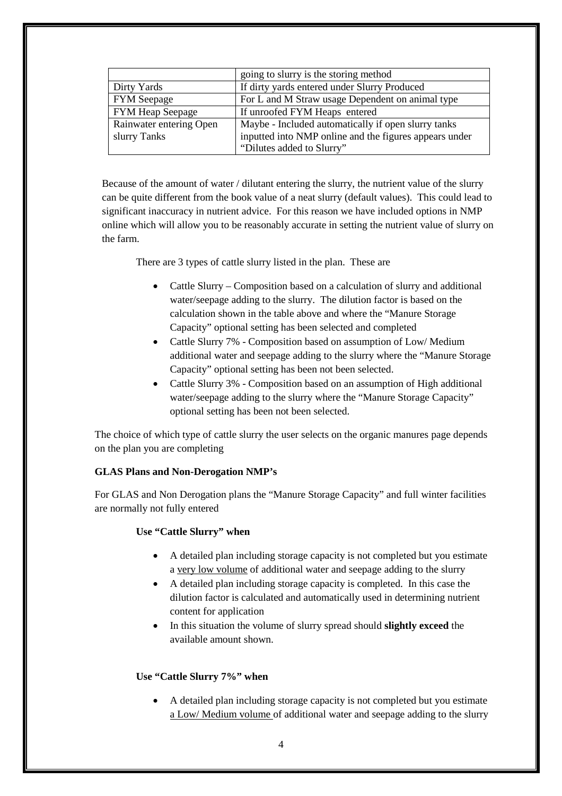|                         | going to slurry is the storing method                  |
|-------------------------|--------------------------------------------------------|
| Dirty Yards             | If dirty yards entered under Slurry Produced           |
| <b>FYM</b> Seepage      | For L and M Straw usage Dependent on animal type       |
| FYM Heap Seepage        | If unroofed FYM Heaps entered                          |
| Rainwater entering Open | Maybe - Included automatically if open slurry tanks    |
| slurry Tanks            | inputted into NMP online and the figures appears under |
|                         | "Dilutes added to Slurry"                              |

Because of the amount of water / dilutant entering the slurry, the nutrient value of the slurry can be quite different from the book value of a neat slurry (default values). This could lead to significant inaccuracy in nutrient advice. For this reason we have included options in NMP online which will allow you to be reasonably accurate in setting the nutrient value of slurry on the farm.

There are 3 types of cattle slurry listed in the plan. These are

- Cattle Slurry Composition based on a calculation of slurry and additional water/seepage adding to the slurry. The dilution factor is based on the calculation shown in the table above and where the "Manure Storage Capacity" optional setting has been selected and completed
- Cattle Slurry 7% Composition based on assumption of Low/ Medium additional water and seepage adding to the slurry where the "Manure Storage Capacity" optional setting has been not been selected.
- Cattle Slurry 3% Composition based on an assumption of High additional water/seepage adding to the slurry where the "Manure Storage Capacity" optional setting has been not been selected.

The choice of which type of cattle slurry the user selects on the organic manures page depends on the plan you are completing

#### **GLAS Plans and Non-Derogation NMP's**

For GLAS and Non Derogation plans the "Manure Storage Capacity" and full winter facilities are normally not fully entered

#### **Use "Cattle Slurry" when**

- A detailed plan including storage capacity is not completed but you estimate a very low volume of additional water and seepage adding to the slurry
- A detailed plan including storage capacity is completed. In this case the dilution factor is calculated and automatically used in determining nutrient content for application
- In this situation the volume of slurry spread should **slightly exceed** the available amount shown.

#### **Use "Cattle Slurry 7%" when**

 A detailed plan including storage capacity is not completed but you estimate a Low/ Medium volume of additional water and seepage adding to the slurry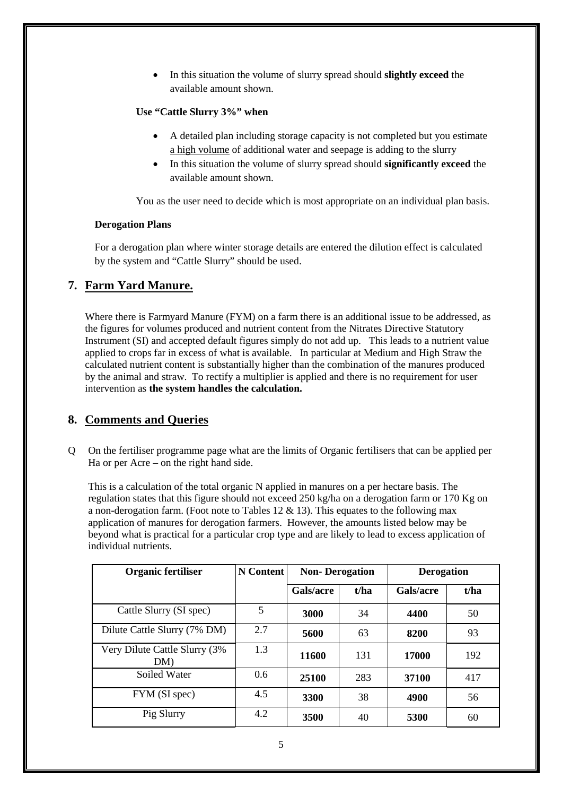In this situation the volume of slurry spread should **slightly exceed** the available amount shown.

#### **Use "Cattle Slurry 3%" when**

- A detailed plan including storage capacity is not completed but you estimate a high volume of additional water and seepage is adding to the slurry
- In this situation the volume of slurry spread should **significantly exceed** the available amount shown.

You as the user need to decide which is most appropriate on an individual plan basis.

#### **Derogation Plans**

For a derogation plan where winter storage details are entered the dilution effect is calculated by the system and "Cattle Slurry" should be used.

## **7. Farm Yard Manure.**

Where there is Farmyard Manure (FYM) on a farm there is an additional issue to be addressed, as the figures for volumes produced and nutrient content from the Nitrates Directive Statutory Instrument (SI) and accepted default figures simply do not add up. This leads to a nutrient value applied to crops far in excess of what is available. In particular at Medium and High Straw the calculated nutrient content is substantially higher than the combination of the manures produced by the animal and straw. To rectify a multiplier is applied and there is no requirement for user intervention as **the system handles the calculation.**

## **8. Comments and Queries**

Q On the fertiliser programme page what are the limits of Organic fertilisers that can be applied per Ha or per Acre – on the right hand side.

This is a calculation of the total organic N applied in manures on a per hectare basis. The regulation states that this figure should not exceed 250 kg/ha on a derogation farm or 170 Kg on a non-derogation farm. (Foot note to Tables 12  $&$  13). This equates to the following max application of manures for derogation farmers. However, the amounts listed below may be beyond what is practical for a particular crop type and are likely to lead to excess application of individual nutrients.

| <b>Organic fertiliser</b>            | <b>N</b> Content | <b>Non-Derogation</b> |      | <b>Derogation</b> |      |  |
|--------------------------------------|------------------|-----------------------|------|-------------------|------|--|
|                                      |                  | Gals/acre             | t/ha | Gals/acre         | t/ha |  |
| Cattle Slurry (SI spec)              | 5                | 3000                  | 34   | 4400              | 50   |  |
| Dilute Cattle Slurry (7% DM)         | 2.7              | 5600                  | 63   | 8200              | 93   |  |
| Very Dilute Cattle Slurry (3%<br>DM) | 1.3              | 11600                 | 131  | 17000             | 192  |  |
| Soiled Water                         | $0.6^{\circ}$    | 25100                 | 283  | 37100             | 417  |  |
| FYM (SI spec)                        | 4.5              | 3300                  | 38   | 4900              | 56   |  |
| Pig Slurry                           | 4.2              | 3500                  | 40   | 5300              | 60   |  |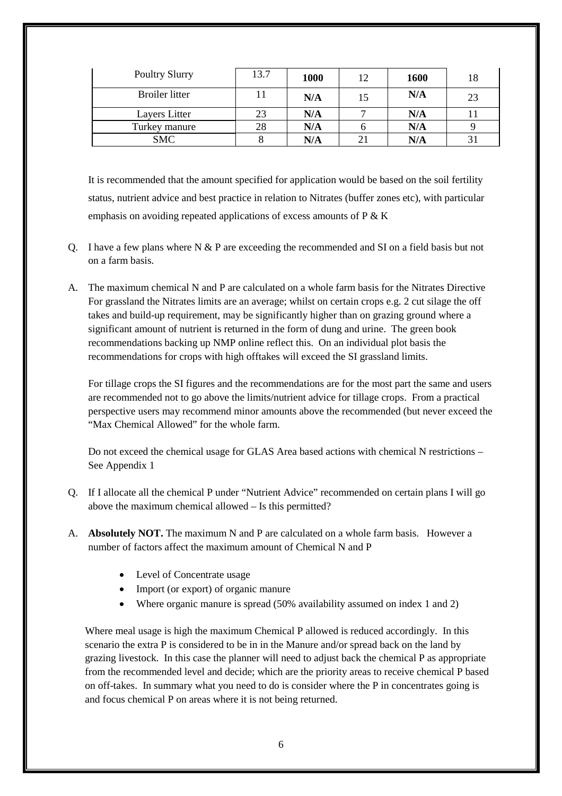| <b>Poultry Slurry</b> | 13.7 | 1000 | 12 | 1600 | 18 |
|-----------------------|------|------|----|------|----|
| Broiler litter        |      | N/A  | 15 | N/A  | 23 |
| Layers Litter         | 23   | N/A  |    | N/A  |    |
| Turkey manure         | 28   | N/A  |    | N/A  |    |
| <b>SMC</b>            |      | N/A  |    | N/A  | 31 |

It is recommended that the amount specified for application would be based on the soil fertility status, nutrient advice and best practice in relation to Nitrates (buffer zones etc), with particular emphasis on avoiding repeated applications of excess amounts of P & K

- Q. I have a few plans where N & P are exceeding the recommended and SI on a field basis but not on a farm basis.
- A. The maximum chemical N and P are calculated on a whole farm basis for the Nitrates Directive For grassland the Nitrates limits are an average; whilst on certain crops e.g. 2 cut silage the off takes and build-up requirement, may be significantly higher than on grazing ground where a significant amount of nutrient is returned in the form of dung and urine. The green book recommendations backing up NMP online reflect this. On an individual plot basis the recommendations for crops with high offtakes will exceed the SI grassland limits.

For tillage crops the SI figures and the recommendations are for the most part the same and users are recommended not to go above the limits/nutrient advice for tillage crops. From a practical perspective users may recommend minor amounts above the recommended (but never exceed the "Max Chemical Allowed" for the whole farm.

Do not exceed the chemical usage for GLAS Area based actions with chemical N restrictions – See Appendix 1

- Q. If I allocate all the chemical P under "Nutrient Advice" recommended on certain plans I will go above the maximum chemical allowed – Is this permitted?
- A. **Absolutely NOT.** The maximum N and P are calculated on a whole farm basis. However a number of factors affect the maximum amount of Chemical N and P
	- Level of Concentrate usage
	- Import (or export) of organic manure
	- Where organic manure is spread (50% availability assumed on index 1 and 2)

Where meal usage is high the maximum Chemical P allowed is reduced accordingly. In this scenario the extra P is considered to be in in the Manure and/or spread back on the land by grazing livestock. In this case the planner will need to adjust back the chemical P as appropriate from the recommended level and decide; which are the priority areas to receive chemical P based on off-takes. In summary what you need to do is consider where the P in concentrates going is and focus chemical P on areas where it is not being returned.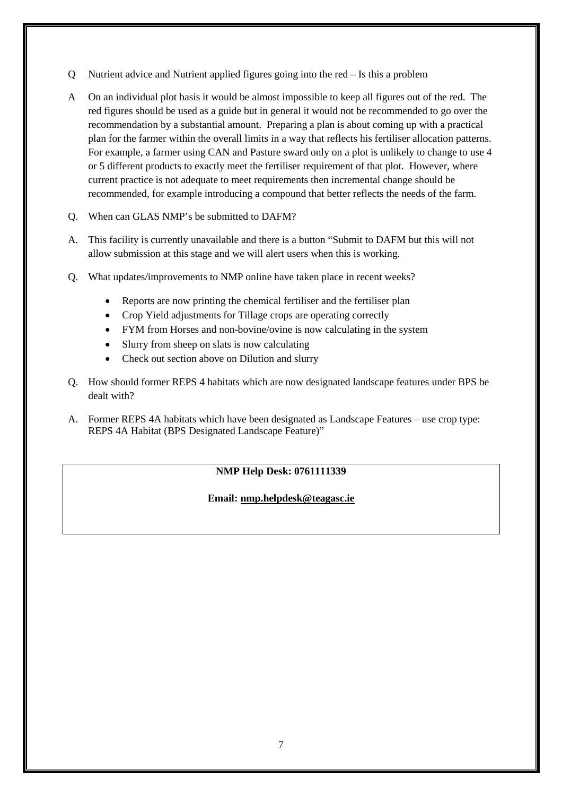- Q Nutrient advice and Nutrient applied figures going into the red Is this a problem
- A On an individual plot basis it would be almost impossible to keep all figures out of the red. The red figures should be used as a guide but in general it would not be recommended to go over the recommendation by a substantial amount. Preparing a plan is about coming up with a practical plan for the farmer within the overall limits in a way that reflects his fertiliser allocation patterns. For example, a farmer using CAN and Pasture sward only on a plot is unlikely to change to use 4 or 5 different products to exactly meet the fertiliser requirement of that plot. However, where current practice is not adequate to meet requirements then incremental change should be recommended, for example introducing a compound that better reflects the needs of the farm.
- Q. When can GLAS NMP's be submitted to DAFM?
- A. This facility is currently unavailable and there is a button "Submit to DAFM but this will not allow submission at this stage and we will alert users when this is working.
- Q. What updates/improvements to NMP online have taken place in recent weeks?
	- Reports are now printing the chemical fertiliser and the fertiliser plan
	- Crop Yield adjustments for Tillage crops are operating correctly
	- FYM from Horses and non-bovine/ovine is now calculating in the system
	- Slurry from sheep on slats is now calculating
	- Check out section above on Dilution and slurry
- Q. How should former REPS 4 habitats which are now designated landscape features under BPS be dealt with?
- A. Former REPS 4A habitats which have been designated as Landscape Features use crop type: REPS 4A Habitat (BPS Designated Landscape Feature)"

#### **NMP Help Desk: 0761111339**

#### **Email: nmp.helpdesk@teagasc.ie**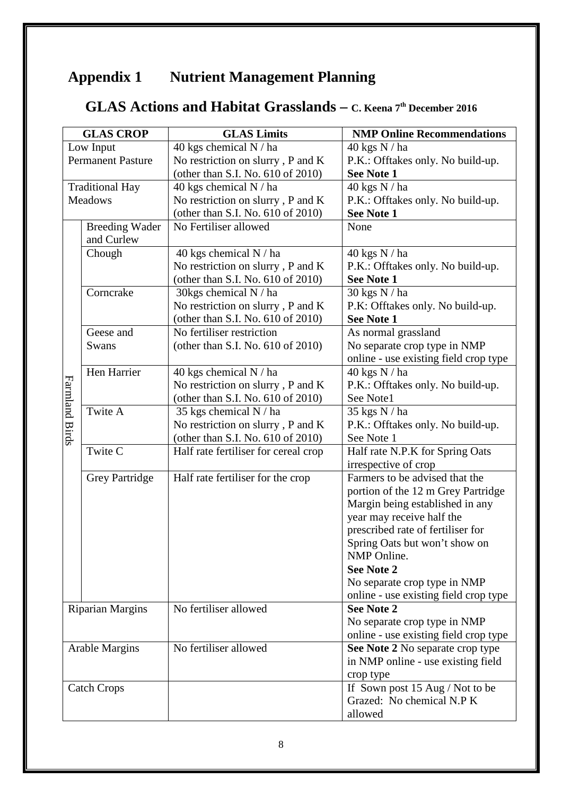# **Appendix 1 Nutrient Management Planning**

## **GLAS Actions and Habitat Grasslands – C. Keena 7th December 2016**